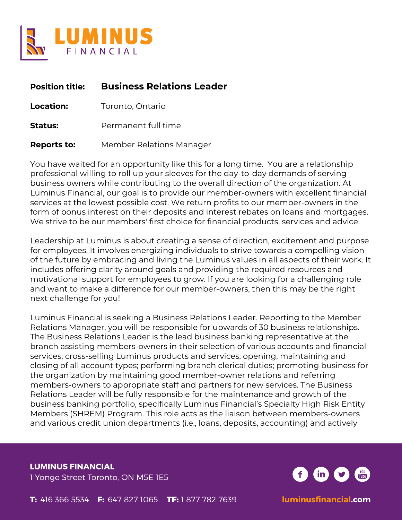

| <b>Position title:</b> | <b>Business Relations Leader</b> |
|------------------------|----------------------------------|
| <b>Location:</b>       | Toronto, Ontario                 |
| <b>Status:</b>         | Permanent full time              |
| <b>Reports to:</b>     | Member Relations Manager         |

You have waited for an opportunity like this for a long time. You are a relationship professional willing to roll up your sleeves for the day-to-day demands of serving business owners while contributing to the overall direction of the organization. At Luminus Financial, our goal is to provide our member-owners with excellent financial services at the lowest possible cost. We return profits to our member-owners in the form of bonus interest on their deposits and interest rebates on loans and mortgages. We strive to be our members' first choice for financial products, services and advice.

Leadership at Luminus is about creating a sense of direction, excitement and purpose for employees. It involves energizing individuals to strive towards a compelling vision of the future by embracing and living the Luminus values in all aspects of their work. It includes offering clarity around goals and providing the required resources and motivational support for employees to grow. If you are looking for a challenging role and want to make a difference for our member-owners, then this may be the right next challenge for you!

Luminus Financial is seeking a Business Relations Leader. Reporting to the Member Relations Manager, you will be responsible for upwards of 30 business relationships. The Business Relations Leader is the lead business banking representative at the branch assisting members-owners in their selection of various accounts and financial services; cross-selling Luminus products and services; opening, maintaining and closing of all account types; performing branch clerical duties; promoting business for the organization by maintaining good member-owner relations and referring members-owners to appropriate staff and partners for new services. The Business Relations Leader will be fully responsible for the maintenance and growth of the business banking portfolio, specifically Luminus Financial's Specialty High Risk Entity Members (SHREM) Program. This role acts as the liaison between members-owners and various credit union departments (i.e., loans, deposits, accounting) and actively

**LUMINUS FINANCIAL** 1 Yonge Street Toronto, ON M5E 1E5

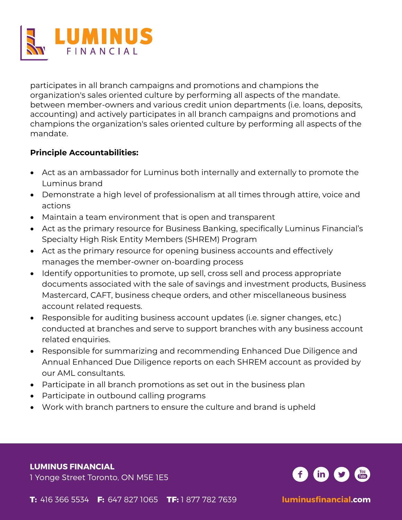

participates in all branch campaigns and promotions and champions the organization's sales oriented culture by performing all aspects of the mandate. between member-owners and various credit union departments (i.e. loans, deposits, accounting) and actively participates in all branch campaigns and promotions and champions the organization's sales oriented culture by performing all aspects of the mandate.

# **Principle Accountabilities:**

- Act as an ambassador for Luminus both internally and externally to promote the Luminus brand
- Demonstrate a high level of professionalism at all times through attire, voice and actions
- Maintain a team environment that is open and transparent
- Act as the primary resource for Business Banking, specifically Luminus Financial's Specialty High Risk Entity Members (SHREM) Program
- Act as the primary resource for opening business accounts and effectively manages the member-owner on-boarding process
- Identify opportunities to promote, up sell, cross sell and process appropriate documents associated with the sale of savings and investment products, Business Mastercard, CAFT, business cheque orders, and other miscellaneous business account related requests.
- Responsible for auditing business account updates (i.e. signer changes, etc.) conducted at branches and serve to support branches with any business account related enquiries.
- Responsible for summarizing and recommending Enhanced Due Diligence and Annual Enhanced Due Diligence reports on each SHREM account as provided by our AML consultants.
- Participate in all branch promotions as set out in the business plan
- Participate in outbound calling programs
- Work with branch partners to ensure the culture and brand is upheld

**LUMINUS FINANCIAL**

1 Yonge Street Toronto, ON M5E 1E5

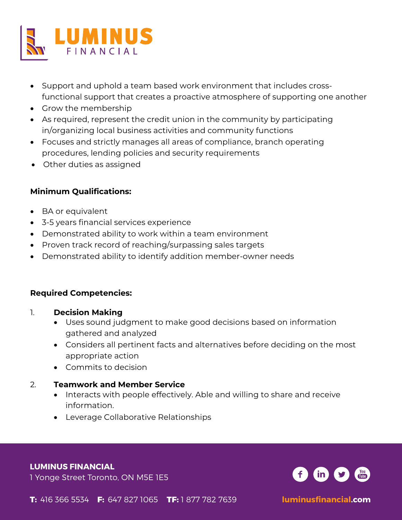

- Support and uphold a team based work environment that includes crossfunctional support that creates a proactive atmosphere of supporting one another
- Grow the membership
- As required, represent the credit union in the community by participating in/organizing local business activities and community functions
- Focuses and strictly manages all areas of compliance, branch operating procedures, lending policies and security requirements
- Other duties as assigned

# **Minimum Qualifications:**

- BA or equivalent
- 3-5 years financial services experience
- Demonstrated ability to work within a team environment
- Proven track record of reaching/surpassing sales targets
- Demonstrated ability to identify addition member-owner needs

### **Required Competencies:**

- 1. **Decision Making**
	- Uses sound judgment to make good decisions based on information gathered and analyzed
	- Considers all pertinent facts and alternatives before deciding on the most appropriate action
	- Commits to decision

### 2. **Teamwork and Member Service**

- Interacts with people effectively. Able and willing to share and receive information.
- Leverage Collaborative Relationships

#### **LUMINUS FINANCIAL**

1 Yonge Street Toronto, ON M5E 1E5